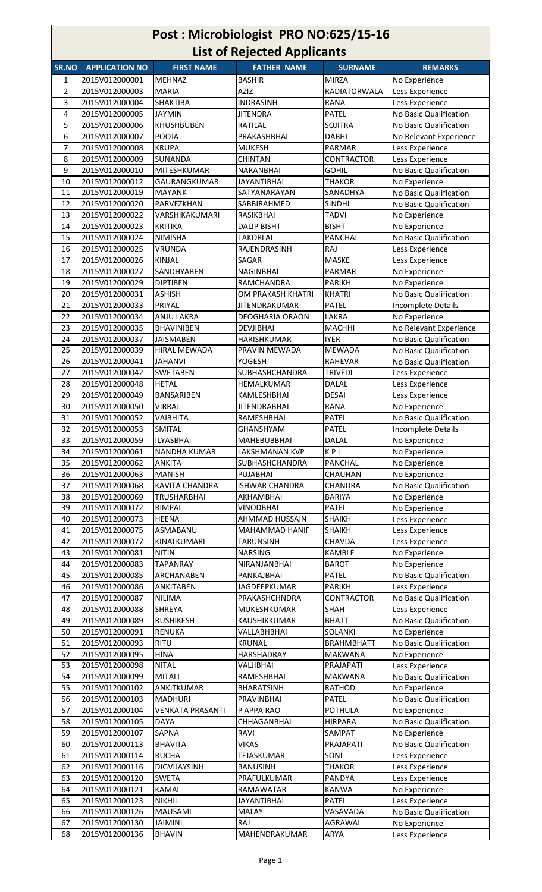| Post: Microbiologist PRO NO:625/15-16<br><b>List of Rejected Applicants</b> |                                  |                                      |                                         |                                |                                           |  |  |  |  |
|-----------------------------------------------------------------------------|----------------------------------|--------------------------------------|-----------------------------------------|--------------------------------|-------------------------------------------|--|--|--|--|
| SR.NO                                                                       | <b>APPLICATION NO</b>            | <b>FIRST NAME</b>                    | <b>FATHER NAME</b>                      | <b>SURNAME</b>                 | <b>REMARKS</b>                            |  |  |  |  |
| 1                                                                           | 2015V012000001                   | <b>MEHNAZ</b>                        | <b>BASHIR</b>                           | <b>MIRZA</b>                   | No Experience                             |  |  |  |  |
| $\overline{2}$                                                              | 2015V012000003                   | <b>MARIA</b>                         | AZIZ                                    | RADIATORWALA                   | Less Experience                           |  |  |  |  |
| 3                                                                           | 2015V012000004                   | SHAKTIBA                             | <b>INDRASINH</b>                        | <b>RANA</b>                    | Less Experience                           |  |  |  |  |
| 4                                                                           | 2015V012000005                   | JAYMIN                               | JITENDRA                                | PATEL                          | No Basic Qualification                    |  |  |  |  |
| 5                                                                           | 2015V012000006<br>2015V012000007 | <b>KHUSHBUBEN</b><br>POOJA           | RATILAL<br>PRAKASHBHAI                  | <b>SOJITRA</b><br><b>DABHI</b> | No Basic Qualification                    |  |  |  |  |
| 6<br>7                                                                      | 2015V012000008                   | <b>KRUPA</b>                         | <b>MUKESH</b>                           | <b>PARMAR</b>                  | No Relevant Experience<br>Less Experience |  |  |  |  |
| 8                                                                           | 2015V012000009                   | SUNANDA                              | <b>CHINTAN</b>                          | <b>CONTRACTOR</b>              | Less Experience                           |  |  |  |  |
| 9                                                                           | 2015V012000010                   | <b>MITESHKUMAR</b>                   | NARANBHAI                               | <b>GOHIL</b>                   | No Basic Qualification                    |  |  |  |  |
| 10                                                                          | 2015V012000012                   | GAURANGKUMAR                         | <b>JAYANTIBHAI</b>                      | <b>THAKOR</b>                  | No Experience                             |  |  |  |  |
| 11                                                                          | 2015V012000019                   | <b>MAYANK</b>                        | SATYANARAYAN                            | SANADHYA                       | No Basic Qualification                    |  |  |  |  |
| 12                                                                          | 2015V012000020                   | PARVEZKHAN                           | SABBIRAHMED<br>RASIKBHAI                | <b>SINDHI</b>                  | No Basic Qualification                    |  |  |  |  |
| 13<br>14                                                                    | 2015V012000022<br>2015V012000023 | VARSHIKAKUMARI<br><b>KRITIKA</b>     | <b>DALIP BISHT</b>                      | <b>TADVI</b><br><b>BISHT</b>   | No Experience<br>No Experience            |  |  |  |  |
| 15                                                                          | 2015V012000024                   | <b>NIMISHA</b>                       | <b>TAKORLAL</b>                         | <b>PANCHAL</b>                 | No Basic Qualification                    |  |  |  |  |
| 16                                                                          | 2015V012000025                   | <b>VRUNDA</b>                        | RAJENDRASINH                            | RAJ                            | Less Experience                           |  |  |  |  |
| 17                                                                          | 2015V012000026                   | <b>KINJAL</b>                        | SAGAR                                   | <b>MASKE</b>                   | Less Experience                           |  |  |  |  |
| 18                                                                          | 2015V012000027                   | SANDHYABEN                           | <b>NAGINBHAI</b>                        | PARMAR                         | No Experience                             |  |  |  |  |
| 19                                                                          | 2015V012000029                   | <b>DIPTIBEN</b>                      | RAMCHANDRA                              | <b>PARIKH</b>                  | No Experience                             |  |  |  |  |
| 20                                                                          | 2015V012000031                   | <b>ASHISH</b>                        | OM PRAKASH KHATRI                       | <b>KHATRI</b>                  | No Basic Qualification                    |  |  |  |  |
| 21<br>22                                                                    | 2015V012000033<br>2015V012000034 | PRIYAL<br>ANJU LAKRA                 | JITENDRAKUMAR<br><b>DEOGHARIA ORAON</b> | PATEL<br>LAKRA                 | Incomplete Details<br>No Experience       |  |  |  |  |
| 23                                                                          | 2015V012000035                   | <b>BHAVINIBEN</b>                    | <b>DEVJIBHAI</b>                        | <b>MACHHI</b>                  | No Relevant Experience                    |  |  |  |  |
| 24                                                                          | 2015V012000037                   | <b>JAISMABEN</b>                     | HARISHKUMAR                             | <b>IYER</b>                    | No Basic Qualification                    |  |  |  |  |
| 25                                                                          | 2015V012000039                   | <b>HIRAL MEWADA</b>                  | PRAVIN MEWADA                           | <b>MEWADA</b>                  | No Basic Qualification                    |  |  |  |  |
| 26                                                                          | 2015V012000041                   | <b>JAHANVI</b>                       | YOGESH                                  | <b>RAHEVAR</b>                 | No Basic Qualification                    |  |  |  |  |
| 27                                                                          | 2015V012000042                   | <b>SWETABEN</b>                      | <b>SUBHASHCHANDRA</b>                   | <b>TRIVEDI</b>                 | Less Experience                           |  |  |  |  |
| 28                                                                          | 2015V012000048                   | <b>HETAL</b>                         | HEMALKUMAR                              | <b>DALAL</b>                   | Less Experience                           |  |  |  |  |
| 29<br>30                                                                    | 2015V012000049<br>2015V012000050 | <b>BANSARIBEN</b><br><b>VIRRAJ</b>   | KAMLESHBHAI<br><b>JITENDRABHAI</b>      | <b>DESAI</b><br><b>RANA</b>    | Less Experience<br>No Experience          |  |  |  |  |
| 31                                                                          | 2015V012000052                   | VAIBHITA                             | RAMESHBHAI                              | <b>PATEL</b>                   | No Basic Qualification                    |  |  |  |  |
| 32                                                                          | 2015V012000053                   | <b>SMITAL</b>                        | <b>GHANSHYAM</b>                        | <b>PATEL</b>                   | Incomplete Details                        |  |  |  |  |
| 33                                                                          | 2015V012000059                   | <b>ILYASBHAI</b>                     | <b>MAHEBUBBHAI</b>                      | <b>DALAL</b>                   | No Experience                             |  |  |  |  |
| 34                                                                          | 2015V012000061                   | <b>NANDHA KUMAR</b>                  | LAKSHMANAN KVP                          | KPL                            | No Experience                             |  |  |  |  |
| 35                                                                          | 2015V012000062                   | <b>ANKITA</b>                        | <b>SUBHASHCHANDRA</b>                   | PANCHAL                        | No Experience                             |  |  |  |  |
| 36                                                                          | 2015V012000063                   | <b>MANISH</b>                        | PUJABHAI<br><b>ISHWAR CHANDRA</b>       | <b>CHAUHAN</b>                 | No Experience                             |  |  |  |  |
| 37<br>38                                                                    | 2015V012000068<br>2015V012000069 | KAVITA CHANDRA<br><b>TRUSHARBHAI</b> | AKHAMBHAI                               | CHANDRA<br><b>BARIYA</b>       | No Basic Qualification<br>No Experience   |  |  |  |  |
| 39                                                                          | 2015V012000072                   | RIMPAL                               | <b>VINODBHAI</b>                        | <b>PATEL</b>                   | No Experience                             |  |  |  |  |
| 40                                                                          | 2015V012000073                   | <b>HEENA</b>                         | AHMMAD HUSSAIN                          | <b>SHAIKH</b>                  | Less Experience                           |  |  |  |  |
| 41                                                                          | 2015V012000075                   | ASMABANU                             | MAHAMMAD HANIF                          | <b>SHAIKH</b>                  | Less Experience                           |  |  |  |  |
| 42                                                                          | 2015V012000077                   | KINALKUMARI                          | <b>TARUNSINH</b>                        | <b>CHAVDA</b>                  | Less Experience                           |  |  |  |  |
| 43                                                                          | 2015V012000081                   | <b>NITIN</b>                         | <b>NARSING</b>                          | KAMBLE                         | No Experience                             |  |  |  |  |
| 44                                                                          | 2015V012000083                   | <b>TAPANRAY</b>                      | NIRANJANBHAI                            | <b>BAROT</b>                   | No Experience                             |  |  |  |  |
| 45<br>46                                                                    | 2015V012000085<br>2015V012000086 | ARCHANABEN<br><b>ANKITABEN</b>       | PANKAJBHAI<br>JAGDEEPKUMAR              | PATEL<br><b>PARIKH</b>         | No Basic Qualification<br>Less Experience |  |  |  |  |
| 47                                                                          | 2015V012000087                   | <b>NILIMA</b>                        | PRAKASHCHNDRA                           | <b>CONTRACTOR</b>              | No Basic Qualification                    |  |  |  |  |
| 48                                                                          | 2015V012000088                   | <b>SHREYA</b>                        | MUKESHKUMAR                             | <b>SHAH</b>                    | Less Experience                           |  |  |  |  |
| 49                                                                          | 2015V012000089                   | <b>RUSHIKESH</b>                     | KAUSHIKKUMAR                            | <b>BHATT</b>                   | No Basic Qualification                    |  |  |  |  |
| 50                                                                          | 2015V012000091                   | <b>RENUKA</b>                        | VALLABHBHAI                             | SOLANKI                        | No Experience                             |  |  |  |  |
| 51                                                                          | 2015V012000093                   | RITU                                 | KRUNAL                                  | <b>BRAHMBHATT</b>              | No Basic Qualification                    |  |  |  |  |
| 52                                                                          | 2015V012000095                   | <b>HINA</b>                          | <b>HARSHADRAY</b>                       | <b>MAKWANA</b>                 | No Experience                             |  |  |  |  |
| 53<br>54                                                                    | 2015V012000098<br>2015V012000099 | <b>NITAL</b><br>MITALI               | VALJIBHAI<br>RAMESHBHAI                 | PRAJAPATI<br>MAKWANA           | Less Experience<br>No Basic Qualification |  |  |  |  |
| 55                                                                          | 2015V012000102                   | ANKITKUMAR                           | <b>BHARATSINH</b>                       | <b>RATHOD</b>                  | No Experience                             |  |  |  |  |
| 56                                                                          | 2015V012000103                   | <b>MADHURI</b>                       | PRAVINBHAI                              | <b>PATEL</b>                   | No Basic Qualification                    |  |  |  |  |
| 57                                                                          | 2015V012000104                   | <b>VENKATA PRASANTI</b>              | P APPA RAO                              | POTHULA                        | No Experience                             |  |  |  |  |
| 58                                                                          | 2015V012000105                   | <b>DAYA</b>                          | <b>CHHAGANBHAI</b>                      | <b>HIRPARA</b>                 | No Basic Qualification                    |  |  |  |  |
| 59                                                                          | 2015V012000107                   | <b>SAPNA</b>                         | RAVI                                    | SAMPAT                         | No Experience                             |  |  |  |  |
| 60                                                                          | 2015V012000113                   | <b>BHAVITA</b>                       | <b>VIKAS</b>                            | PRAJAPATI                      | No Basic Qualification                    |  |  |  |  |
| 61<br>62                                                                    | 2015V012000114<br>2015V012000116 | <b>RUCHA</b><br><b>DIGVIJAYSINH</b>  | TEJASKUMAR<br><b>BANUSINH</b>           | SONI<br><b>THAKOR</b>          | Less Experience                           |  |  |  |  |
| 63                                                                          | 2015V012000120                   | <b>SWETA</b>                         | PRAFULKUMAR                             | PANDYA                         | Less Experience<br>Less Experience        |  |  |  |  |
| 64                                                                          | 2015V012000121                   | <b>KAMAL</b>                         | RAMAWATAR                               | <b>KANWA</b>                   | No Experience                             |  |  |  |  |
| 65                                                                          | 2015V012000123                   | <b>NIKHIL</b>                        | <b>JAYANTIBHAI</b>                      | <b>PATEL</b>                   | Less Experience                           |  |  |  |  |
| 66                                                                          | 2015V012000126                   | <b>MAUSAMI</b>                       | MALAY                                   | VASAVADA                       | No Basic Qualification                    |  |  |  |  |
| 67                                                                          | 2015V012000130                   | <b>JAIMINI</b>                       | RAJ                                     | AGRAWAL                        | No Experience                             |  |  |  |  |
| 68                                                                          | 2015V012000136                   | <b>BHAVIN</b>                        | MAHENDRAKUMAR                           | <b>ARYA</b>                    | Less Experience                           |  |  |  |  |